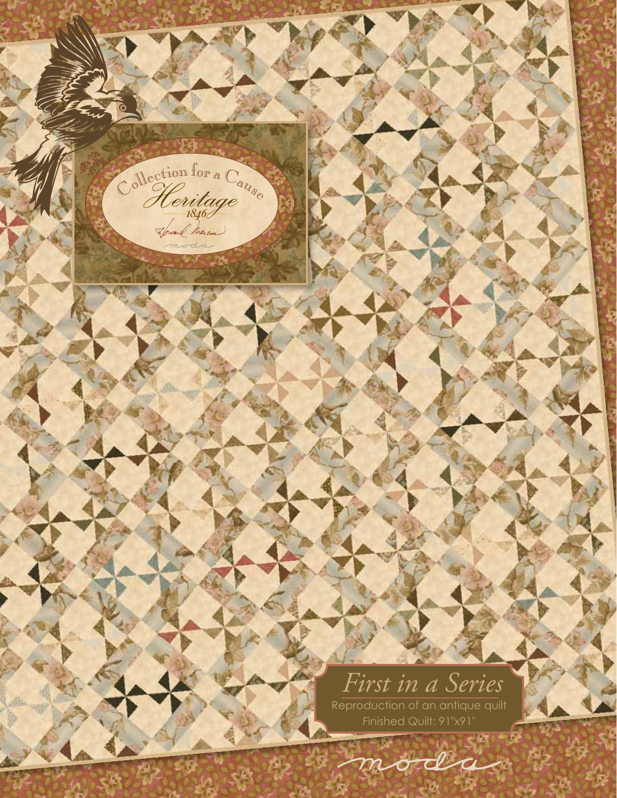# Collection for a Cause Howard Marcus First in a Series Reproduction of an antique quilt

moda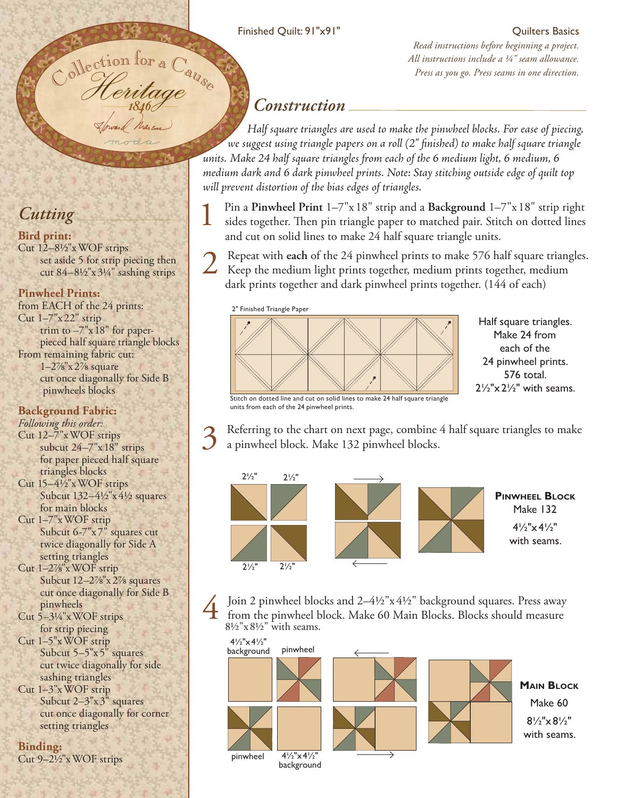### Finished Quilt: 91"x91"

### Quilters Basics

*Read instructions before beginning a project. All instructions include a ¼" seam allowance. Press as you go. Press seams in one direction.*<br> *Press as you go. Press seams in one direction.* 

## *Construction*

 *Half square triangles are used to make the pinwheel blocks. For ease of piecing, we suggest using triangle papers on a roll (2" finished) to make half square triangle units. Make 24 half square triangles from each of the 6 medium light, 6 medium, 6 medium dark and 6 dark pinwheel prints. Note: Stay stitching outside edge of quilt top will prevent distortion of the bias edges of triangles.* 

1 Pin a **Pinwheel Print** 1–7"x 18" strip and a **Background** 1–7"x 18" strip right sides together. Then pin triangle paper to matched pair. Stitch on dotted lines and cut on solid lines to make 24 half square triangle units.

2 Repeat with each of the 24 pinwheel prints to make 576 half square triangles.<br>Keep the medium light prints together, medium prints together, medium dark prints together and dark pinwheel prints together. (144 of each)

2" Finished Triangle Paper



Half square triangles. Make 24 from each of the 24 pinwheel prints. 576 total.  $2\frac{1}{2}x^2x^2$  with seams.

Stitch on dotted line and cut on solid lines to make 24 half square triangle units from each of the 24 pinwheel prints.

background

Referring to the chart on next page, combine 4 half square triangles to make a pinwheel block. Make 132 pinwheel blocks.



Join 2 pinwheel blocks and 2–4½"x 4½" background squares. Press away from the pinwheel block. Make 60 Main Blocks. Blocks should measure 8½"x 8½" with seams.



*Cutting*

### **Bird print:**

Cut 12–8½"x WOF strips set aside 5 for strip piecing then cut 84–8½"x 3¼" sashing strips

Heritage *<sup>1846</sup>*

### **Pinwheel Prints:**

from EACH of the 24 prints: Cut 1–7"x 22" strip trim to –7"x 18" for paper pieced half square triangle blocks From remaining fabric cut: 1–2⅞"x 2⅞ square cut once diagonally for Side B pinwheels blocks

### **Background Fabric:**

*Following this order:*

Cut 12–7"x WOF strips subcut 24–7"x 18" strips for paper pieced half square triangles blocks

- Cut 15–4½"x WOF strips Subcut 132–4½"x 4½ squares for main blocks
- Cut 1–7"x WOF strip Subcut 6-7"x 7" squares cut twice diagonally for Side A setting triangles

Cut 1–2⅞"x WOF strip Subcut 12–2⅞"x 2⅞ squares cut once diagonally for Side B pinwheels

- Cut 5–3¼"x WOF strips for strip piecing
- Cut 1–5"x WOF strip Subcut 5–5"x 5" squares cut twice diagonally for side sashing triangles

Cut 1–3"x WOF strip Subcut 2–3"x 3" squares cut once diagonally for corner setting triangles

**Binding:** Cut 9–2½"x WOF strips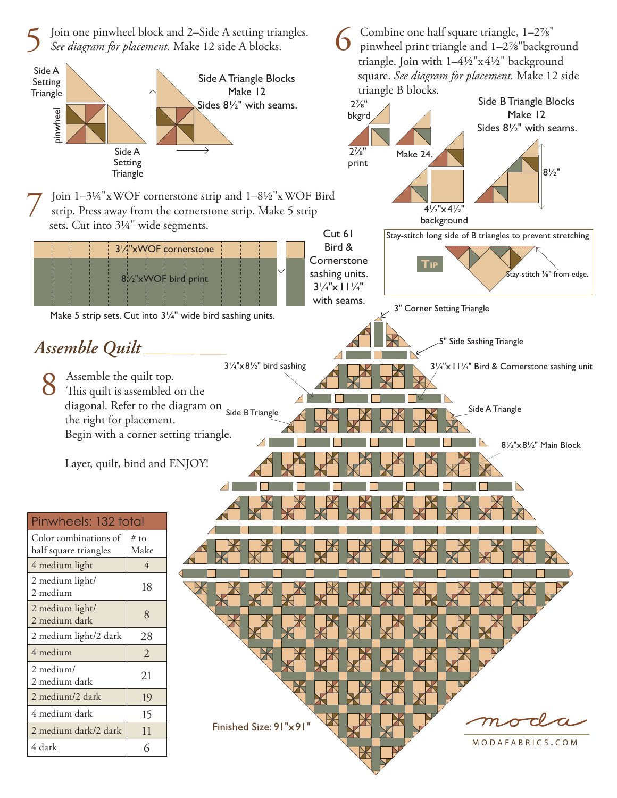